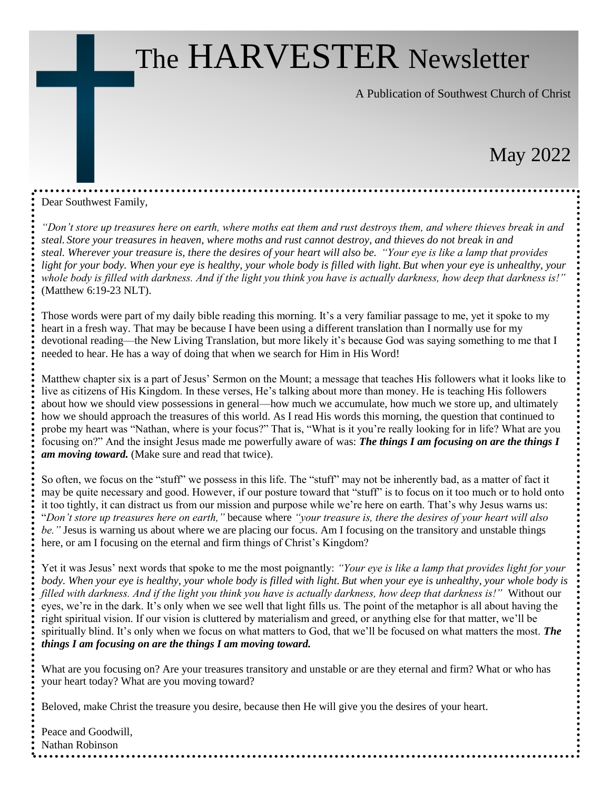# The HARVESTER Newsletter

A Publication of Southwest Church of Christ

# May 2022

Dear Southwest Family,

*"Don't store up treasures here on earth, where moths eat them and rust destroys them, and where thieves break in and steal. Store your treasures in heaven, where moths and rust cannot destroy, and thieves do not break in and steal. Wherever your treasure is, there the desires of your heart will also be. "Your eye is like a lamp that provides light for your body. When your eye is healthy, your whole body is filled with light. But when your eye is unhealthy, your whole body is filled with darkness. And if the light you think you have is actually darkness, how deep that darkness is!"* (Matthew 6:19-23 NLT).

Those words were part of my daily bible reading this morning. It's a very familiar passage to me, yet it spoke to my heart in a fresh way. That may be because I have been using a different translation than I normally use for my devotional reading—the New Living Translation, but more likely it's because God was saying something to me that I needed to hear. He has a way of doing that when we search for Him in His Word!

Matthew chapter six is a part of Jesus' Sermon on the Mount; a message that teaches His followers what it looks like to live as citizens of His Kingdom. In these verses, He's talking about more than money. He is teaching His followers about how we should view possessions in general—how much we accumulate, how much we store up, and ultimately how we should approach the treasures of this world. As I read His words this morning, the question that continued to probe my heart was "Nathan, where is your focus?" That is, "What is it you're really looking for in life? What are you focusing on?" And the insight Jesus made me powerfully aware of was: *The things I am focusing on are the things I am moving toward.* (Make sure and read that twice).

So often, we focus on the "stuff" we possess in this life. The "stuff" may not be inherently bad, as a matter of fact it may be quite necessary and good. However, if our posture toward that "stuff" is to focus on it too much or to hold onto it too tightly, it can distract us from our mission and purpose while we're here on earth. That's why Jesus warns us: "*Don't store up treasures here on earth,"* because where *"your treasure is, there the desires of your heart will also be."* Jesus is warning us about where we are placing our focus. Am I focusing on the transitory and unstable things here, or am I focusing on the eternal and firm things of Christ's Kingdom?

Yet it was Jesus' next words that spoke to me the most poignantly: *"Your eye is like a lamp that provides light for your body. When your eye is healthy, your whole body is filled with light. But when your eye is unhealthy, your whole body is filled with darkness. And if the light you think you have is actually darkness, how deep that darkness is!"* Without our eyes, we're in the dark. It's only when we see well that light fills us. The point of the metaphor is all about having the right spiritual vision. If our vision is cluttered by materialism and greed, or anything else for that matter, we'll be spiritually blind. It's only when we focus on what matters to God, that we'll be focused on what matters the most. *The things I am focusing on are the things I am moving toward.*

What are you focusing on? Are your treasures transitory and unstable or are they eternal and firm? What or who has your heart today? What are you moving toward?

Beloved, make Christ the treasure you desire, because then He will give you the desires of your heart.

Peace and Goodwill, Nathan Robinson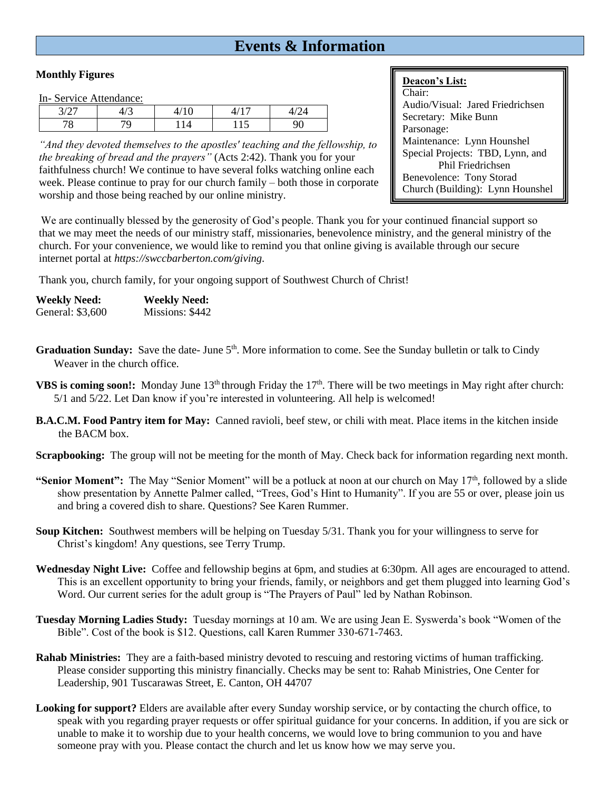# **Events & Information**

### **Monthly Figures**

In- Service Attendance:

| $\Omega$ | $\sqrt{2}$<br>τ≀ - | $\sim$<br>◡ | -     |   |  |
|----------|--------------------|-------------|-------|---|--|
| U        |                    | Δ           | 1 1 J | v |  |

*"And they devoted themselves to the apostles' teaching and the fellowship, to the breaking of bread and the prayers"* (Acts 2:42). Thank you for your faithfulness church! We continue to have several folks watching online each week. Please continue to pray for our church family – both those in corporate worship and those being reached by our online ministry.

### **Deacon's List:**

Chair: Audio/Visual: Jared Friedrichsen Secretary: Mike Bunn Parsonage: Maintenance: Lynn Hounshel Special Projects: TBD, Lynn, and Phil Friedrichsen Benevolence: Tony Storad Church (Building): Lynn Hounshel

We are continually blessed by the generosity of God's people. Thank you for your continued financial support so that we may meet the needs of our ministry staff, missionaries, benevolence ministry, and the general ministry of the church. For your convenience, we would like to remind you that online giving is available through our secure internet portal at *https://swccbarberton.com/giving.*

Thank you, church family, for your ongoing support of Southwest Church of Christ!

| <b>Weekly Need:</b> | <b>Weekly Need:</b> |
|---------------------|---------------------|
| General: \$3,600    | Missions: \$442     |

- Graduation Sunday: Save the date- June 5<sup>th</sup>. More information to come. See the Sunday bulletin or talk to Cindy Weaver in the church office.
- **VBS is coming soon!:** Monday June 13<sup>th</sup> through Friday the 17<sup>th</sup>. There will be two meetings in May right after church: 5/1 and 5/22. Let Dan know if you're interested in volunteering. All help is welcomed!
- **B.A.C.M. Food Pantry item for May:** Canned ravioli, beef stew, or chili with meat. Place items in the kitchen inside the BACM box.
- **Scrapbooking:** The group will not be meeting for the month of May. Check back for information regarding next month.
- **"Senior Moment":** The May "Senior Moment" will be a potluck at noon at our church on May 17<sup>th</sup>, followed by a slide show presentation by Annette Palmer called, "Trees, God's Hint to Humanity". If you are 55 or over, please join us and bring a covered dish to share. Questions? See Karen Rummer.
- **Soup Kitchen:** Southwest members will be helping on Tuesday 5/31. Thank you for your willingness to serve for Christ's kingdom! Any questions, see Terry Trump.
- **Wednesday Night Live:** Coffee and fellowship begins at 6pm, and studies at 6:30pm. All ages are encouraged to attend. This is an excellent opportunity to bring your friends, family, or neighbors and get them plugged into learning God's Word. Our current series for the adult group is "The Prayers of Paul" led by Nathan Robinson.
- **Tuesday Morning Ladies Study:** Tuesday mornings at 10 am. We are using Jean E. Syswerda's book "Women of the Bible". Cost of the book is \$12. Questions, call Karen Rummer 330-671-7463.
- **Rahab Ministries:** They are a faith-based ministry devoted to rescuing and restoring victims of human trafficking. Please consider supporting this ministry financially. Checks may be sent to: Rahab Ministries, One Center for Leadership, 901 Tuscarawas Street, E. Canton, OH 44707
- **Looking for support?** Elders are available after every Sunday worship service, or by contacting the church office, to speak with you regarding prayer requests or offer spiritual guidance for your concerns. In addition, if you are sick or unable to make it to worship due to your health concerns, we would love to bring communion to you and have someone pray with you. Please contact the church and let us know how we may serve you.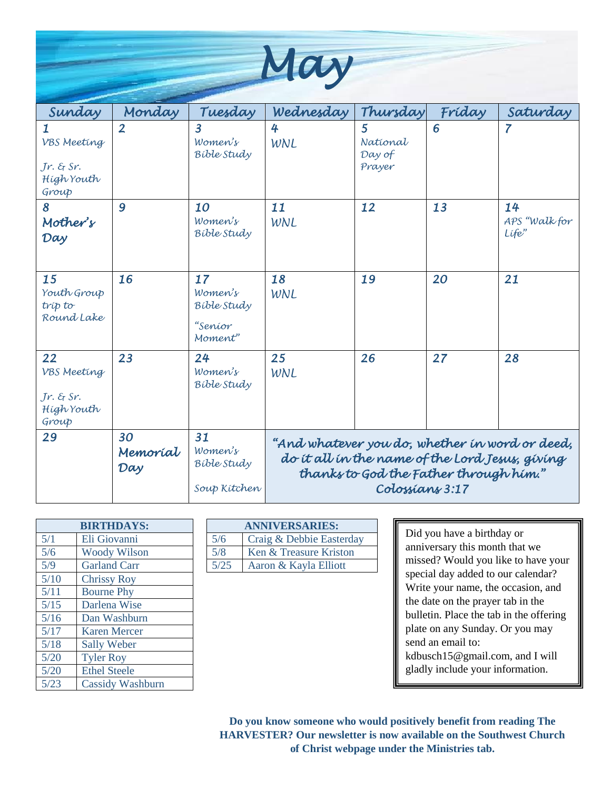| MOL |
|-----|
|     |

| Sunday                                                  | Monday                | Tuesday                                                   | Wednesday                                                                                                                                                      | Thursday                          | Fríday | Saturday                     |  |  |
|---------------------------------------------------------|-----------------------|-----------------------------------------------------------|----------------------------------------------------------------------------------------------------------------------------------------------------------------|-----------------------------------|--------|------------------------------|--|--|
| VBS Meeting<br>$Jr.$ & $Sr.$<br>High Youth<br>Group     | $\overline{2}$        | $\overline{3}$<br>Women's<br>Bible Study                  | 4<br>WNL                                                                                                                                                       | 5<br>National<br>Day of<br>Prayer | 6      | 7                            |  |  |
| 8<br>Mother's<br>Day                                    | 9                     | 10<br>Women's<br>Bible Study                              | 11<br>WNL                                                                                                                                                      | 12                                | 13     | 14<br>APS "Walk for<br>Life" |  |  |
| 15<br>Youth Group<br>tríp to<br>Round Lake              | 16                    | 17<br>Women's<br><b>Bible Study</b><br>"Seníor<br>Moment" | 18<br>WNL                                                                                                                                                      | 19                                | 20     | 21                           |  |  |
| 22<br>VBS Meeting<br>$Jr.$ & Sr.<br>High Youth<br>Group | 23                    | 24<br>Women's<br>Bible Study                              | 25<br>WNL                                                                                                                                                      | 26                                | 27     | 28                           |  |  |
| 29                                                      | 30<br>Memoríal<br>Day | 31<br>Women's<br><b>Bible Study</b><br>Soup Kitchen       | "And whatever you do, whether in word or deed,<br>do it all in the name of the Lord Jesus, giving<br>thanks to God the Father through him."<br>Colossians 3:17 |                                   |        |                              |  |  |

|      | <b>BIRTHDAYS:</b>       |        | <b>ANNIVERSARIES:</b>  |
|------|-------------------------|--------|------------------------|
| 5/1  | Eli Giovanni            | 5/6    | Craig & Debbie Easterd |
| 5/6  | <b>Woody Wilson</b>     | 5/8    | Ken & Treasure Kriston |
| 5/9  | <b>Garland Carr</b>     | $5/25$ | Aaron & Kayla Elliott  |
| 5/10 | <b>Chrissy Roy</b>      |        |                        |
| 5/11 | <b>Bourne Phy</b>       |        |                        |
| 5/15 | Darlena Wise            |        |                        |
| 5/16 | Dan Washburn            |        |                        |
| 5/17 | <b>Karen Mercer</b>     |        |                        |
| 5/18 | <b>Sally Weber</b>      |        |                        |
| 5/20 | <b>Tyler Roy</b>        |        |                        |
| 5/20 | <b>Ethel Steele</b>     |        |                        |
| 5/23 | <b>Cassidy Washburn</b> |        |                        |

| <b>BIRTHDAYS:</b> |                     | <b>ANNIVERSARIES:</b> |                          |  |
|-------------------|---------------------|-----------------------|--------------------------|--|
| 5/1               | Eli Giovanni        | 5/6                   | Craig & Debbie Easterday |  |
| 5/6               | <b>Woody Wilson</b> | 5/8                   | Ken & Treasure Kriston   |  |
| 5/9               | <b>Garland Carr</b> | 5/25                  | Aaron & Kayla Elliott    |  |

Did you have a birthday or anniversary this month that we missed? Would you like to have your special day added to our calendar? Write your name, the occasion, and the date on the prayer tab in the bulletin. Place the tab in the offering plate on any Sunday. Or you may send an email to: kdbusch15@gmail.com, and I will gladly include your information.

**Do you know someone who would positively benefit from reading The HARVESTER? Our newsletter is now available on the Southwest Church of Christ webpage under the Ministries tab.**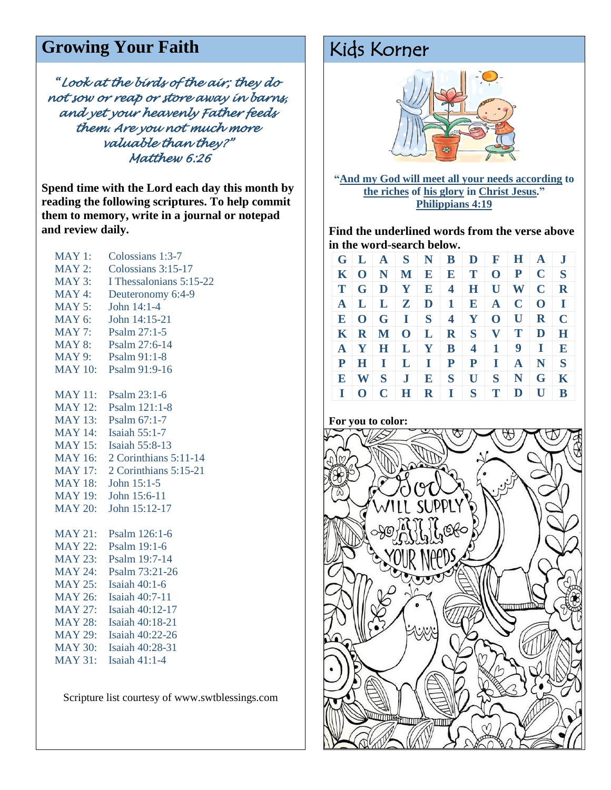# Growing Your Faith **Kids Korner**

*"Look at the birds of the air; they do not sow or reap or store away in barns, and yet your heavenly Father feeds them. Are you not much more valuable than they?" Matthew 6:26* 

**Spend time with the Lord each day this month by reading the following scriptures. To help commit them to memory, write in a journal or notepad and review daily.**

| <b>MAY 1:</b>  | Colossians 1:3-7          |
|----------------|---------------------------|
| $MAY$ 2:       | Colossians 3:15-17        |
| $MAY$ 3:       | I Thessalonians 5:15-22   |
| MAY 4:         | Deuteronomy 6:4-9         |
| $MAY$ 5:       | John 14:1-4               |
| <b>MAY 6:</b>  | John 14:15-21             |
| $MAY$ 7:       | Psalm 27:1-5              |
| <b>MAY 8:</b>  | Psalm 27:6-14             |
| <b>MAY 9:</b>  | Psalm 91:1-8              |
| <b>MAY 10:</b> | Psalm 91:9-16             |
| <b>MAY 11:</b> | Psalm 23:1-6              |
| <b>MAY 12:</b> | Psalm 121:1-8             |
| <b>MAY 13:</b> | Psalm 67:1-7              |
| <b>MAY 14:</b> | Isaiah 55:1-7             |
| <b>MAY 15:</b> | <b>Isaiah 55:8-13</b>     |
| <b>MAY 16:</b> | $2$ Corinthians $5:11-14$ |
| <b>MAY 17:</b> | 2 Corinthians 5:15-21     |
| <b>MAY 18:</b> | John 15:1-5               |
| <b>MAY 19:</b> | John 15:6-11              |
| <b>MAY 20:</b> | John 15:12-17             |
| <b>MAY 21:</b> | Psalm 126:1-6             |
| <b>MAY 22:</b> | Psalm 19:1-6              |
| <b>MAY 23:</b> | Psalm 19:7-14             |
| <b>MAY 24:</b> | Psalm 73:21-26            |
| <b>MAY 25:</b> | <b>Isaiah 40:1-6</b>      |
| <b>MAY 26:</b> | <b>Isaiah 40:7-11</b>     |
| <b>MAY 27:</b> | Isaiah 40:12-17           |
| MAY 28:        | Isaiah 40:18-21           |
| <b>MAY 29:</b> | Isaiah 40:22-26           |
| <b>MAY 30:</b> | Isaiah 40:28-31           |
| <b>MAY 31:</b> | Isaiah $41:1-4$           |

Scripture list courtesy of www.swtblessings.com



**"And my God will meet all your needs according to the riches of his glory in Christ Jesus." Philippians 4:19**

**Find the underlined words from the verse above in the word-search below.** 

|              |  |  | $G \mid L \mid A \mid S \mid N \mid B \mid D \mid F \mid H \mid A \mid J$ |                   |             |
|--------------|--|--|---------------------------------------------------------------------------|-------------------|-------------|
|              |  |  | $K   O   N   M   E   E   T   O   P   C   S$                               |                   |             |
|              |  |  | $T   G   D   Y   E   4   H   U   W   C   R$                               |                   |             |
|              |  |  | $A \mid L \mid L \mid Z \mid D \mid 1 \mid E \mid A \mid C \mid O \mid I$ |                   |             |
|              |  |  | $E$   O   G   I   S   4   Y   O   U   R   C                               |                   |             |
|              |  |  | $K   R   M   O   L   R   S   V   T   D   H$                               |                   |             |
|              |  |  | $A$   $Y$   $H$   $L$   $Y$   $B$   $4$   $1$   $9$   $I$   $E$           |                   |             |
|              |  |  | $P$ H I L I P P                                                           | $I$ $A$ $N$ $S$   |             |
|              |  |  | E W S J E S U                                                             | $S \mid N \mid G$ | $\bf K$     |
| $\mathbf{I}$ |  |  | O C H R I S T D U                                                         |                   | $\mathbf B$ |